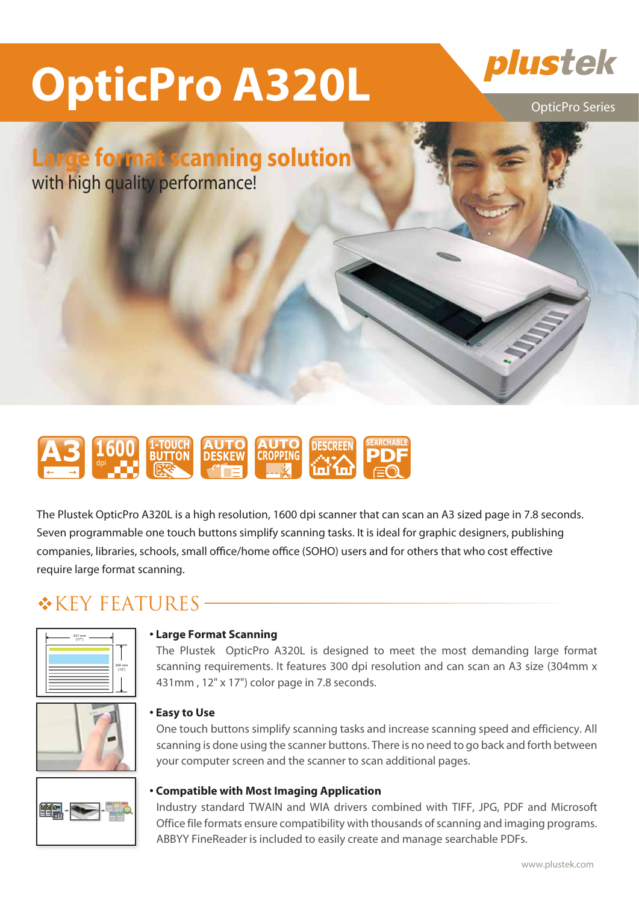# **OpticPro A320L Plustek**

**Large format scanning solution**

with high quality performance!

### **A3 1600 BUTTON AUTO AUTO DESCREEN PDF DESKEW AUTO CROPPING** dpi

The Plustek OpticPro A320L is a high resolution, 1600 dpi scanner that can scan an A3 sized page in 7.8 seconds. Seven programmable one touch buttons simplify scanning tasks. It is ideal for graphic designers, publishing companies, libraries, schools, small office/home office (SOHO) users and for others that who cost effective require large format scanning.

### $*$ KEY FEATURES -



### **•�Large Format Scanning**

 The Plustek OpticPro A320L is designed to meet the most demanding large format scanning requirements. It features 300 dpi resolution and can scan an A3 size (304mm x 431mm , 12" x 17") color page in 7.8 seconds.



### **•�Easy to Use**

 One touch buttons simplify scanning tasks and increase scanning speed and efficiency. All scanning is done using the scanner buttons. There is no need to go back and forth between your computer screen and the scanner to scan additional pages.



### **•�Compatible with Most Imaging Application**

 Industry standard TWAIN and WIA drivers combined with TIFF, JPG, PDF and Microsoft Office file formats ensure compatibility with thousands of scanning and imaging programs. ABBYY FineReader is included to easily create and manage searchable PDFs.